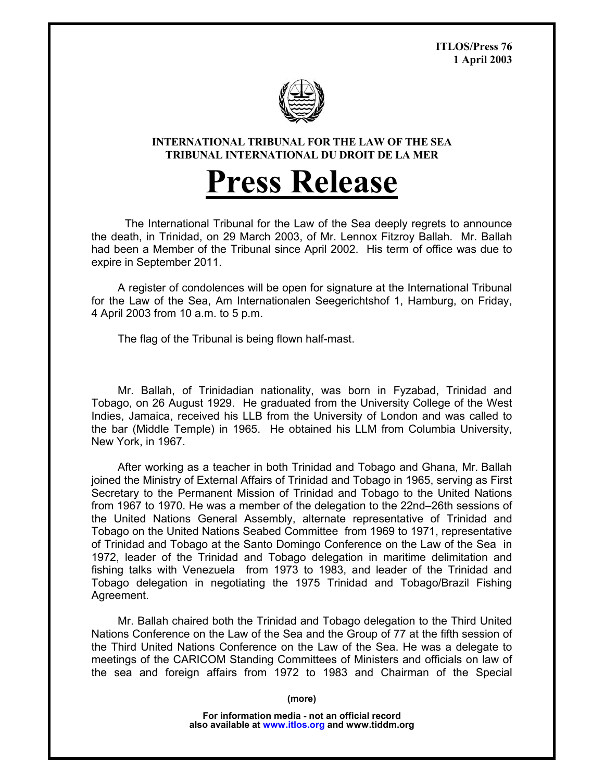**ITLOS/Press 76 1 April 2003** 



**INTERNATIONAL TRIBUNAL FOR THE LAW OF THE SEA TRIBUNAL INTERNATIONAL DU DROIT DE LA MER** 

## **Press Release**

The International Tribunal for the Law of the Sea deeply regrets to announce the death, in Trinidad, on 29 March 2003, of Mr. Lennox Fitzroy Ballah. Mr. Ballah had been a Member of the Tribunal since April 2002. His term of office was due to expire in September 2011.

 A register of condolences will be open for signature at the International Tribunal for the Law of the Sea, Am Internationalen Seegerichtshof 1, Hamburg, on Friday, 4 April 2003 from 10 a.m. to 5 p.m.

The flag of the Tribunal is being flown half-mast.

 Mr. Ballah, of Trinidadian nationality, was born in Fyzabad, Trinidad and Tobago, on 26 August 1929. He graduated from the University College of the West Indies, Jamaica, received his LLB from the University of London and was called to the bar (Middle Temple) in 1965. He obtained his LLM from Columbia University, New York, in 1967.

 After working as a teacher in both Trinidad and Tobago and Ghana, Mr. Ballah joined the Ministry of External Affairs of Trinidad and Tobago in 1965, serving as First Secretary to the Permanent Mission of Trinidad and Tobago to the United Nations from 1967 to 1970. He was a member of the delegation to the 22nd–26th sessions of the United Nations General Assembly, alternate representative of Trinidad and Tobago on the United Nations Seabed Committee from 1969 to 1971, representative of Trinidad and Tobago at the Santo Domingo Conference on the Law of the Sea in 1972, leader of the Trinidad and Tobago delegation in maritime delimitation and fishing talks with Venezuela from 1973 to 1983, and leader of the Trinidad and Tobago delegation in negotiating the 1975 Trinidad and Tobago/Brazil Fishing Agreement.

 Mr. Ballah chaired both the Trinidad and Tobago delegation to the Third United Nations Conference on the Law of the Sea and the Group of 77 at the fifth session of the Third United Nations Conference on the Law of the Sea. He was a delegate to meetings of the CARICOM Standing Committees of Ministers and officials on law of the sea and foreign affairs from 1972 to 1983 and Chairman of the Special

**(more)** 

**For information media - not an official record also available at www.itlos.org and www.tiddm.org**